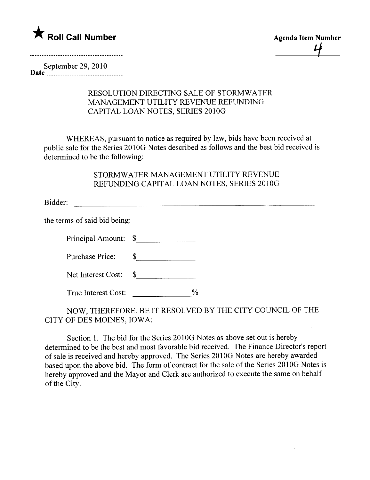

September 29,2010 Date \_\_\_\_\_\_ \_\_noon \_ \_ \_ \_ \_00 \_ \_\_00\_\_\_\_ \_\_0000 \_ \_ \_ \_ \_00\_

## RESOLUTION DIRECTING SALE OF STORMWATER MANAGEMENT UTILITY REVENUE REFUNDING CAPITAL LOAN NOTES, SERIES 2010G

WHEREAS, pursuant to notice as required by law, bids have been received at public sale for the Series 2010G Notes described as follows and the best bid received is determined to be the following:

## STORMWATER MANAGEMENT UTILITY REVENUE REFUNDING CAPITAL LOAN NOTES, SERIES 2010G

Bidder:

the terms of said bid being:

Principal Amount: \$

Purchase Price: \$

| Net Interest Cost: |  |
|--------------------|--|
|--------------------|--|

True Interest Cost: \_\_\_\_\_\_\_\_\_\_\_\_\_\_\_%

NOW, THEREFORE, BE IT RESOLVED BY THE CITY COUNCIL OF THE CITY OF DES MOINES, IOWA:

Section 1. The bid for the Series 2010G Notes as above set out is hereby determined to be the best and most favorable bid received. The Finance Director's report of sale is received and hereby approved. The Series 201 OG Notes are hereby awarded based upon the above bid. The form of contract for the sale of the Series 2010G Notes is hereby approved and the Mayor and Clerk are authorized to execute the same on behalf of the City.